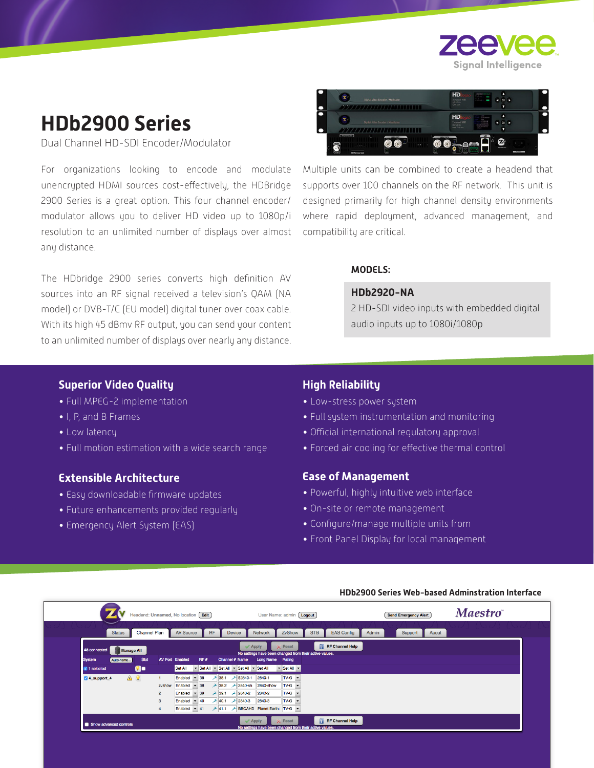

# **HDb2900 Series**

Dual Channel HD-SDI Encoder/Modulator

For organizations looking to encode and modulate unencrypted HDMI sources cost-effectively, the HDBridge 2900 Series is a great option. This four channel encoder/ modulator allows you to deliver HD video up to 1080p/i resolution to an unlimited number of displays over almost any distance.

The HDbridge 2900 series converts high definition AV sources into an RF signal received a television's QAM (NA model) or DVB-T/C (EU model) digital tuner over coax cable. With its high 45 dBmv RF output, you can send your content to an unlimited number of displays over nearly any distance.



Multiple units can be combined to create a headend that supports over 100 channels on the RF network. This unit is designed primarily for high channel density environments where rapid deployment, advanced management, and compatibility are critical.

### **MODELS:**

#### **HDb2920-NA**

2 HD-SDI video inputs with embedded digital audio inputs up to 1080i/1080p

## **Superior Video Quality**

- Full MPEG-2 implementation
- I, P, and B Frames
- Low latency
- Full motion estimation with a wide search range

# **Extensible Architecture**

- Easy downloadable firmware updates
- Future enhancements provided regularly
- Emergency Alert System (EAS)

# **High Reliability**

- Low-stress power system
- Full system instrumentation and monitoring
- Official international regulatory approval
- Forced air cooling for effective thermal control

### **Ease of Management**

- Powerful, highly intuitive web interface
- On-site or remote management
- Configure/manage multiple units from
- Front Panel Display for local management

|                                      | Headend: Unnamed, No location Edit |                                              | User Name: admin [ Logout]                                                |                            | <b>Send Emergency Alert</b> | <b>Maestro</b> |
|--------------------------------------|------------------------------------|----------------------------------------------|---------------------------------------------------------------------------|----------------------------|-----------------------------|----------------|
| <b>Channel Plan</b><br><b>Status</b> | <b>AV Source</b>                   | <b>RF</b><br><b>Device</b><br><b>Network</b> | ZvShow<br><b>STB</b>                                                      | <b>EAS Config</b><br>Admin | Support<br>About            |                |
| 48 connected<br><b>Manage All</b>    |                                    | $\mathcal$ Apply                             | $\times$ Reset<br>No settings have been changed from their active values. | <b>RF</b> Channel Help     |                             |                |
| Slot<br><b>System</b><br>Auto-name   | RF#<br><b>AV Port Enabled</b>      | Channel # Name                               | Long Name Rating                                                          |                            |                             |                |
| $\bullet$<br><b>M</b> 1 selected     | Set All                            | Set All v Set All v Set All v Set All        | $\blacktriangleright$ Set All $\blacktriangleright$                       |                            |                             |                |
| A 9<br>4 4 support 4                 | $-38$<br>Enabled<br>$\mathbf{1}$   | <b>→ 38.1 → \$2840-1</b><br>2840-1           | $TV-G$ $\rightarrow$                                                      |                            |                             |                |
|                                      | $-38$<br>Enabled<br>zvshow         | 2840sh<br>2840-show                          | $TV-G$ $\rightarrow$                                                      |                            |                             |                |
|                                      | $-39$<br>Enabled<br>$\overline{2}$ | 2840-2<br>$\ge$ 39.1 $\ge$ 2840-2            | $TV-G$ $\rightarrow$                                                      |                            |                             |                |
|                                      | Enabled<br>$-40$<br>$\mathbf{3}$   | 2840-3<br>┹ 40.1 ┹ 2840-3                    | $TV-G$ $\rightarrow$                                                      |                            |                             |                |
|                                      | Enabled<br>$-41$                   | → 41.1 → BBCAHD Planet Earth: TV-G -         |                                                                           |                            |                             |                |
| Show advanced controls               |                                    | $\mathcal A$ Apply                           | $\times$ Reset<br>No settings have been changed from their active values. | <b>RF</b> Channel Help     |                             |                |

#### **HDb2900 Series Web-based Adminstration Interface**